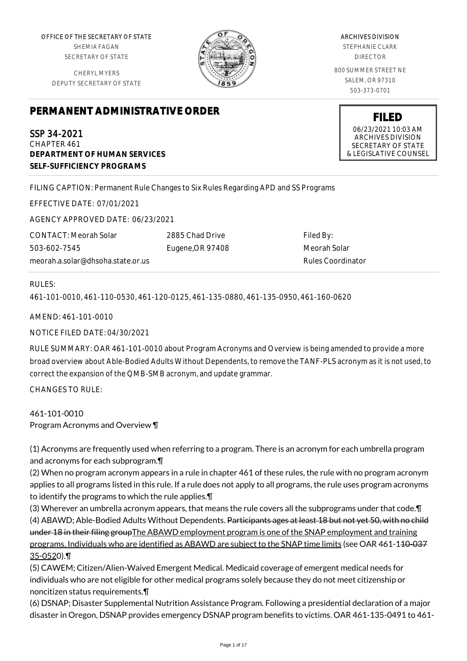OFFICE OF THE SECRETARY OF STATE SHEMIA FAGAN SECRETARY OF STATE

CHERYL MYERS DEPUTY SECRETARY OF STATE



ARCHIVES DIVISION STEPHANIE CLARK DIRECTOR

800 SUMMER STREET NE SALEM, OR 97310 503-373-0701

# **PERMANENT ADMINISTRATIVE ORDER**

SSP 34-2021 CHAPTER 461 **DEPARTMENT OF HUMAN SERVICES SELF-SUFFICIENCY PROGRAMS**

FILING CAPTION: Permanent Rule Changes to Six Rules Regarding APD and SS Programs

EFFECTIVE DATE: 07/01/2021

AGENCY APPROVED DATE: 06/23/2021

CONTACT: Meorah Solar 503-602-7545 meorah.a.solar@dhsoha.state.or.us 2885 Chad Drive Eugene,OR 97408

Filed By: Meorah Solar Rules Coordinator

# RULES:

461-101-0010, 461-110-0530, 461-120-0125, 461-135-0880, 461-135-0950, 461-160-0620

AMEND: 461-101-0010

NOTICE FILED DATE: 04/30/2021

RULE SUMMARY: OAR 461-101-0010 about Program Acronyms and Overview is being amended to provide a more broad overview about Able-Bodied Adults Without Dependents, to remove the TANF-PLS acronym as it is not used, to correct the expansion of the QMB-SMB acronym, and update grammar.

CHANGES TO RULE:

461-101-0010 Program Acronyms and Overview ¶

(1) Acronyms are frequently used when referring to a program. There is an acronym for each umbrella program and acronyms for each subprogram.¶

(2) When no program acronym appears in a rule in chapter 461 of these rules, the rule with no program acronym applies to all programs listed in this rule. If a rule does not apply to all programs, the rule uses program acronyms to identify the programs to which the rule applies.¶

(3) Wherever an umbrella acronym appears, that means the rule covers all the subprograms under that code.¶ (4) ABAWD; Able-Bodied Adults Without Dependents. Participants ages at least 18 but not yet 50, with no child under 18 in their filing groupThe ABAWD employment program is one of the SNAP employment and training programs. Individuals who are identified as ABAWD are subject to the SNAP time limits (see OAR 461-110-037 35-0520).¶

(5) CAWEM; Citizen/Alien-Waived Emergent Medical. Medicaid coverage of emergent medical needs for individuals who are not eligible for other medical programs solely because they do not meet citizenship or noncitizen status requirements.¶

(6) DSNAP; Disaster Supplemental Nutrition Assistance Program. Following a presidential declaration of a major disaster in Oregon, DSNAP provides emergency DSNAP program benefits to victims. OAR 461-135-0491 to 461-

**FILED** 06/23/2021 10:03 AM ARCHIVES DIVISION SECRETARY OF STATE

& LEGISLATIVE COUNSEL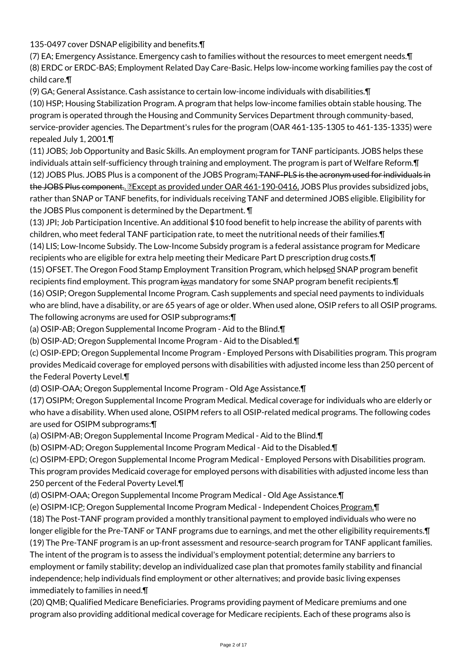135-0497 cover DSNAP eligibility and benefits. [1]

(7) EA; Emergency Assistance. Emergency cash to families without the resources to meet emergent needs.¶ (8) ERDC or ERDC-BAS; Employment Related Day Care-Basic. Helps low-income working families pay the cost of child care.¶

(9) GA; General Assistance. Cash assistance to certain low-income individuals with disabilities.¶

(10) HSP; Housing Stabilization Program. A program that helps low-income families obtain stable housing. The program is operated through the Housing and Community Services Department through community-based, service-provider agencies. The Department's rules for the program (OAR 461-135-1305 to 461-135-1335) were repealed July 1, 2001.¶

(11) JOBS; Job Opportunity and Basic Skills. An employment program for TANF participants. JOBS helps these individuals attain self-sufficiency through training and employment. The program is part of Welfare Reform.¶ (12) JOBS Plus. JOBS Plus is a component of the JOBS Program; TANF-PLS is the acronym used for individuals in the JOBS Plus component.. Except as provided under OAR 461-190-0416, JOBS Plus provides subsidized jobs, rather than SNAP or TANF benefits, for individuals receiving TANF and determined JOBS eligible. Eligibility for the JOBS Plus component is determined by the Department. ¶

(13) JPI; Job Participation Incentive. An additional \$10 food benefit to help increase the ability of parents with children, who meet federal TANF participation rate, to meet the nutritional needs of their families.¶ (14) LIS; Low-Income Subsidy. The Low-Income Subsidy program is a federal assistance program for Medicare

recipients who are eligible for extra help meeting their Medicare Part D prescription drug costs.¶ (15) OFSET. The Oregon Food Stamp Employment Transition Program, which helpsed SNAP program benefit

recipients find employment. This program iwas mandatory for some SNAP program benefit recipients. I (16) OSIP; Oregon Supplemental Income Program. Cash supplements and special need payments to individuals who are blind, have a disability, or are 65 years of age or older. When used alone, OSIP refers to all OSIP programs. The following acronyms are used for OSIP subprograms:¶

(a) OSIP-AB; Oregon Supplemental Income Program - Aid to the Blind.¶

(b) OSIP-AD; Oregon Supplemental Income Program - Aid to the Disabled.¶

(c) OSIP-EPD; Oregon Supplemental Income Program - Employed Persons with Disabilities program. This program provides Medicaid coverage for employed persons with disabilities with adjusted income less than 250 percent of the Federal Poverty Level.¶

(d) OSIP-OAA; Oregon Supplemental Income Program - Old Age Assistance.¶

(17) OSIPM; Oregon Supplemental Income Program Medical. Medical coverage for individuals who are elderly or who have a disability. When used alone, OSIPM refers to all OSIP-related medical programs. The following codes are used for OSIPM subprograms:¶

(a) OSIPM-AB; Oregon Supplemental Income Program Medical - Aid to the Blind.¶

(b) OSIPM-AD; Oregon Supplemental Income Program Medical - Aid to the Disabled.¶

(c) OSIPM-EPD; Oregon Supplemental Income Program Medical - Employed Persons with Disabilities program. This program provides Medicaid coverage for employed persons with disabilities with adjusted income less than 250 percent of the Federal Poverty Level.¶

(d) OSIPM-OAA; Oregon Supplemental Income Program Medical - Old Age Assistance.¶

(e) OSIPM-ICP; Oregon Supplemental Income Program Medical - Independent Choices Program. [1]

(18) The Post-TANF program provided a monthly transitional payment to employed individuals who were no longer eligible for the Pre-TANF or TANF programs due to earnings, and met the other eligibility requirements.¶

(19) The Pre-TANF program is an up-front assessment and resource-search program for TANF applicant families. The intent of the program is to assess the individual's employment potential; determine any barriers to employment or family stability; develop an individualized case plan that promotes family stability and financial independence; help individuals find employment or other alternatives; and provide basic living expenses immediately to families in need.¶

(20) QMB; Qualified Medicare Beneficiaries. Programs providing payment of Medicare premiums and one program also providing additional medical coverage for Medicare recipients. Each of these programs also is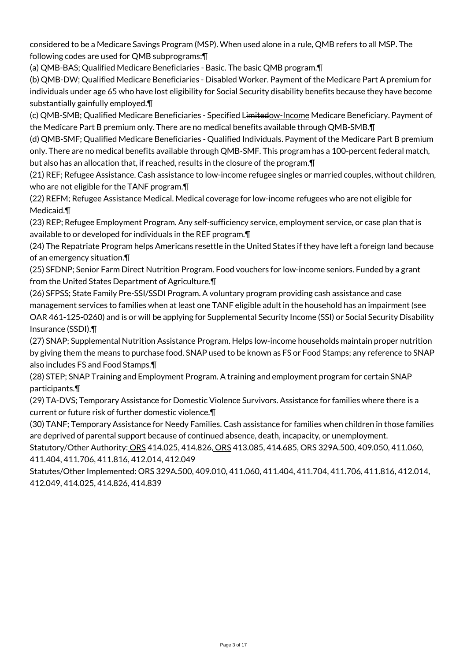considered to be a Medicare Savings Program (MSP). When used alone in a rule, QMB refers to all MSP. The following codes are used for QMB subprograms:¶

(a) QMB-BAS; Qualified Medicare Beneficiaries - Basic. The basic QMB program.¶

(b) QMB-DW; Qualified Medicare Beneficiaries - Disabled Worker. Payment of the Medicare Part A premium for individuals under age 65 who have lost eligibility for Social Security disability benefits because they have become substantially gainfully employed.¶

(c) QMB-SMB; Qualified Medicare Beneficiaries - Specified Limitedow-Income Medicare Beneficiary. Payment of the Medicare Part B premium only. There are no medical benefits available through QMB-SMB.¶

(d) QMB-SMF; Qualified Medicare Beneficiaries - Qualified Individuals. Payment of the Medicare Part B premium only. There are no medical benefits available through QMB-SMF. This program has a 100-percent federal match, but also has an allocation that, if reached, results in the closure of the program.¶

(21) REF; Refugee Assistance. Cash assistance to low-income refugee singles or married couples, without children, who are not eligible for the TANF program.¶

(22) REFM; Refugee Assistance Medical. Medical coverage for low-income refugees who are not eligible for Medicaid.¶

(23) REP; Refugee Employment Program. Any self-sufficiency service, employment service, or case plan that is available to or developed for individuals in the REF program.¶

(24) The Repatriate Program helps Americans resettle in the United States if they have left a foreign land because of an emergency situation.¶

(25) SFDNP; Senior Farm Direct Nutrition Program. Food vouchers for low-income seniors. Funded by a grant from the United States Department of Agriculture.¶

(26) SFPSS; State Family Pre-SSI/SSDI Program. A voluntary program providing cash assistance and case management services to families when at least one TANF eligible adult in the household has an impairment (see OAR 461-125-0260) and is or will be applying for Supplemental Security Income (SSI) or Social Security Disability Insurance (SSDI).¶

(27) SNAP; Supplemental Nutrition Assistance Program. Helps low-income households maintain proper nutrition by giving them the means to purchase food. SNAP used to be known as FS or Food Stamps; any reference to SNAP also includes FS and Food Stamps.¶

(28) STEP; SNAP Training and Employment Program. A training and employment program for certain SNAP participants.¶

(29) TA-DVS; Temporary Assistance for Domestic Violence Survivors. Assistance for families where there is a current or future risk of further domestic violence.¶

(30) TANF; Temporary Assistance for Needy Families. Cash assistance for families when children in those families are deprived of parental support because of continued absence, death, incapacity, or unemployment.

Statutory/Other Authority: ORS 414.025, 414.826, ORS 413.085, 414.685, ORS 329A.500, 409.050, 411.060, 411.404, 411.706, 411.816, 412.014, 412.049

Statutes/Other Implemented: ORS 329A.500, 409.010, 411.060, 411.404, 411.704, 411.706, 411.816, 412.014, 412.049, 414.025, 414.826, 414.839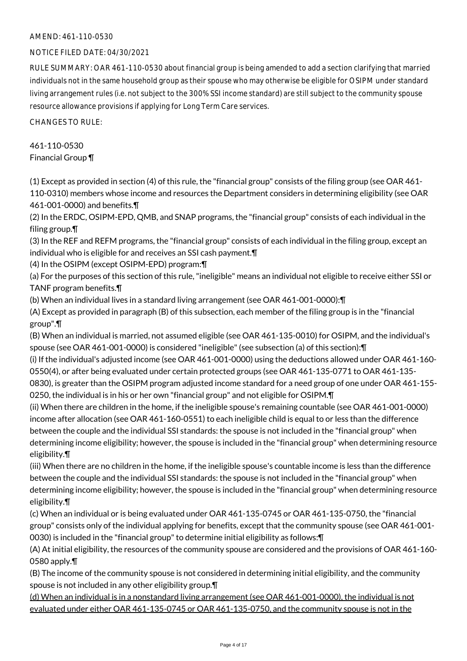# AMEND: 461-110-0530

# NOTICE FILED DATE: 04/30/2021

RULE SUMMARY: OAR 461-110-0530 about financial group is being amended to add a section clarifying that married individuals not in the same household group as their spouse who may otherwise be eligible for OSIPM under standard living arrangement rules (i.e. not subject to the 300% SSI income standard) are still subject to the community spouse resource allowance provisions if applying for Long Term Care services.

CHANGES TO RULE:

# 461-110-0530 Financial Group ¶

(1) Except as provided in section (4) of this rule, the "financial group" consists of the filing group (see OAR 461- 110-0310) members whose income and resources the Department considers in determining eligibility (see OAR 461-001-0000) and benefits.¶

(2) In the ERDC, OSIPM-EPD, QMB, and SNAP programs, the "financial group" consists of each individual in the filing group.¶

(3) In the REF and REFM programs, the "financial group" consists of each individual in the filing group, except an individual who is eligible for and receives an SSI cash payment.¶

(4) In the OSIPM (except OSIPM-EPD) program:¶

(a) For the purposes of this section of this rule, "ineligible" means an individual not eligible to receive either SSI or TANF program benefits.¶

(b) When an individual lives in a standard living arrangement (see OAR 461-001-0000):¶

(A) Except as provided in paragraph (B) of this subsection, each member of the filing group is in the "financial group".¶

(B) When an individual is married, not assumed eligible (see OAR 461-135-0010) for OSIPM, and the individual's spouse (see OAR 461-001-0000) is considered "ineligible" (see subsection (a) of this section):¶

(i) If the individual's adjusted income (see OAR 461-001-0000) using the deductions allowed under OAR 461-160- 0550(4), or after being evaluated under certain protected groups (see OAR 461-135-0771 to OAR 461-135-

0830), is greater than the OSIPM program adjusted income standard for a need group of one under OAR 461-155- 0250, the individual is in his or her own "financial group" and not eligible for OSIPM.¶

(ii) When there are children in the home, if the ineligible spouse's remaining countable (see OAR 461-001-0000) income after allocation (see OAR 461-160-0551) to each ineligible child is equal to or less than the difference between the couple and the individual SSI standards: the spouse is not included in the "financial group" when determining income eligibility; however, the spouse is included in the "financial group" when determining resource eligibility.¶

(iii) When there are no children in the home, if the ineligible spouse's countable income is less than the difference between the couple and the individual SSI standards: the spouse is not included in the "financial group" when determining income eligibility; however, the spouse is included in the "financial group" when determining resource eligibility.¶

(c) When an individual or is being evaluated under OAR 461-135-0745 or OAR 461-135-0750, the "financial group" consists only of the individual applying for benefits, except that the community spouse (see OAR 461-001- 0030) is included in the "financial group" to determine initial eligibility as follows:¶

(A) At initial eligibility, the resources of the community spouse are considered and the provisions of OAR 461-160- 0580 apply.¶

(B) The income of the community spouse is not considered in determining initial eligibility, and the community spouse is not included in any other eligibility group.¶

(d) When an individual is in a nonstandard living arrangement (see OAR 461-001-0000), the individual is not evaluated under either OAR 461-135-0745 or OAR 461-135-0750, and the community spouse is not in the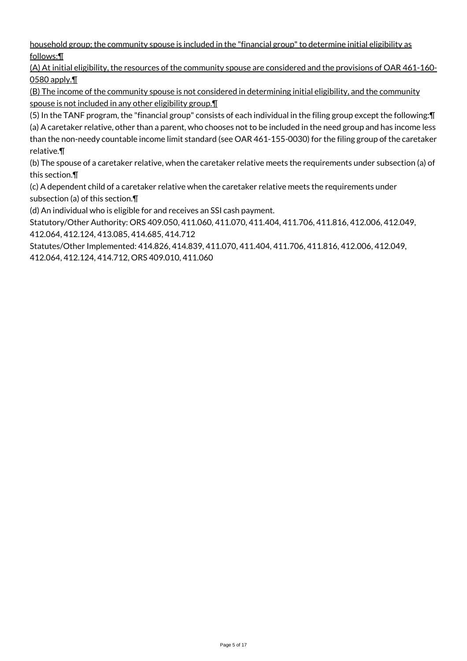household group; the community spouse is included in the "financial group" to determine initial eligibility as follows:¶

(A) At initial eligibility, the resources of the community spouse are considered and the provisions of OAR 461-160-  $\underline{0580}$  apply. $\P$ 

(B) The income of the community spouse is not considered in determining initial eligibility, and the community spouse is not included in any other eligibility group.¶

(5) In the TANF program, the "financial group" consists of each individual in the filing group except the following:¶ (a) A caretaker relative, other than a parent, who chooses not to be included in the need group and has income less than the non-needy countable income limit standard (see OAR 461-155-0030) for the filing group of the caretaker relative.¶

(b) The spouse of a caretaker relative, when the caretaker relative meets the requirements under subsection (a) of this section.¶

(c) A dependent child of a caretaker relative when the caretaker relative meets the requirements under subsection (a) of this section.¶

(d) An individual who is eligible for and receives an SSI cash payment.

Statutory/Other Authority: ORS 409.050, 411.060, 411.070, 411.404, 411.706, 411.816, 412.006, 412.049, 412.064, 412.124, 413.085, 414.685, 414.712

Statutes/Other Implemented: 414.826, 414.839, 411.070, 411.404, 411.706, 411.816, 412.006, 412.049, 412.064, 412.124, 414.712, ORS 409.010, 411.060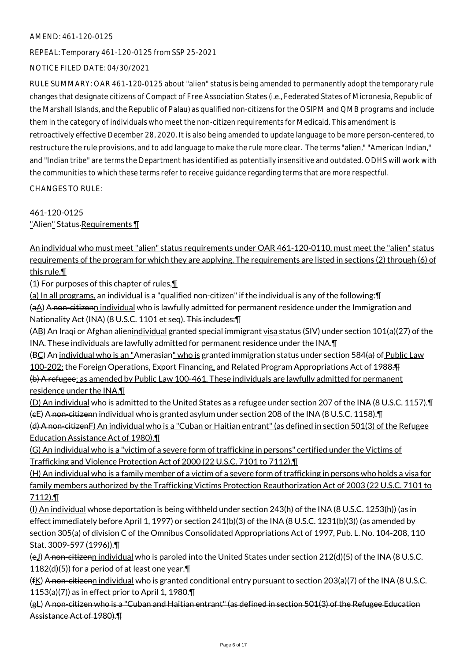# AMEND: 461-120-0125

REPEAL: Temporary 461-120-0125 from SSP 25-2021

# NOTICE FILED DATE: 04/30/2021

RULE SUMMARY: OAR 461-120-0125 about "alien" status is being amended to permanently adopt the temporary rule changes that designate citizens of Compact of Free Association States (i.e., Federated States of Micronesia, Republic of the Marshall Islands, and the Republic of Palau) as qualified non-citizens for the OSIPM and QMB programs and include them in the category of individuals who meet the non-citizen requirements for Medicaid. This amendment is retroactively effective December 28, 2020. It is also being amended to update language to be more person-centered, to restructure the rule provisions, and to add language to make the rule more clear. The terms "alien," "American Indian," and "Indian tribe" are terms the Department has identified as potentially insensitive and outdated. ODHS will work with the communities to which these terms refer to receive guidance regarding terms that are more respectful.

CHANGES TO RULE:

461-120-0125

"Alien" Status-Requirements \[

An individual who must meet "alien" status requirements under OAR 461-120-0110, must meet the "alien" status requirements of the program for which they are applying. The requirements are listed in sections (2) through (6) of this rule.¶

(1) For purposes of this chapter of rules,¶

(a) In all programs, an individual is a "qualified non-citizen" if the individual is any of the following:¶ (aA) A non-citizenn individual who is lawfully admitted for permanent residence under the Immigration and Nationality Act (INA) (8 U.S.C. 1101 et seq). This includes:¶

(AB) An Iraqi or Afghan alienindividual granted special immigrant visa status (SIV) under section 101(a)(27) of the INA. These individuals are lawfully admitted for permanent residence under the INA.¶

(BC) An individual who is an "Amerasian" who is granted immigration status under section 584(a) of Public Law 100-202; the Foreign Operations, Export Financing, and Related Program Appropriations Act of 1988.¶ (b) A refugee; as amended by Public Law 100-461. These individuals are lawfully admitted for permanent

residence under the INA.¶

(D) An individual who is admitted to the United States as a refugee under section 207 of the INA (8 U.S.C. 1157).¶  $(\epsilon E)$  A non-citizenn individual who is granted asylum under section 208 of the INA (8 U.S.C. 1158).

(d) A non-citizenF) An individual who is a "Cuban or Haitian entrant" (as defined in section 501(3) of the Refugee Education Assistance Act of 1980).¶

(G) An individual who is a "victim of a severe form of trafficking in persons" certified under the Victims of Trafficking and Violence Protection Act of 2000 (22 U.S.C. 7101 to 7112).¶

(H) An individual who is a family member of a victim of a severe form of trafficking in persons who holds a visa for family members authorized by the Trafficking Victims Protection Reauthorization Act of 2003 (22 U.S.C. 7101 to 7112).¶

(I) An individual whose deportation is being withheld under section 243(h) of the INA (8 U.S.C. 1253(h)) (as in effect immediately before April 1, 1997) or section 241(b)(3) of the INA (8 U.S.C. 1231(b)(3)) (as amended by section 305(a) of division C of the Omnibus Consolidated Appropriations Act of 1997, Pub. L. No. 104-208, 110 Stat. 3009-597 (1996)).¶

(e<u>J)</u> A non-citizenn individual who is paroled into the United States under section 212(d)(5) of the INA (8 U.S.C. 1182(d)(5)) for a period of at least one year. $\P$ 

 $(fK)$  A non-citizenn individual who is granted conditional entry pursuant to section 203(a)(7) of the INA (8 U.S.C. 1153(a)(7)) as in effect prior to April 1, 1980. $\P$ 

(gL) A non-citizen who is a "Cuban and Haitian entrant" (as defined in section 501(3) of the Refugee Education Assistance Act of 1980).¶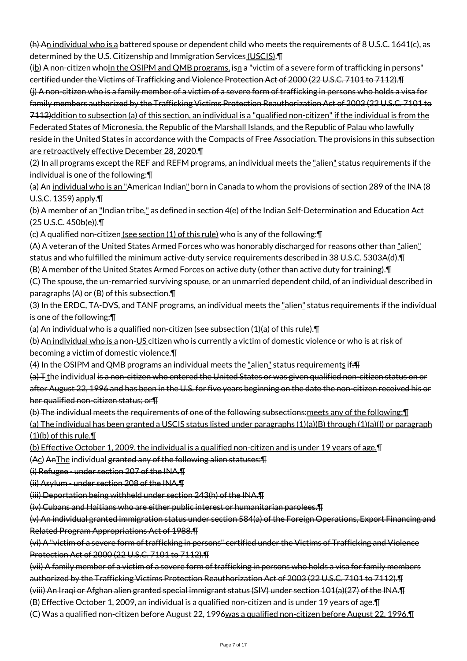$(h)$  An individual who is a battered spouse or dependent child who meets the requirements of 8 U.S.C. 1641(c), as determined by the U.S. Citizenship and Immigration Services (USCIS). \[

 $(i_2)$  A non-citizen who In the OSIPM and QMB programs, isn a "victim of a severe form of trafficking in persons" certified under the Victims of Trafficking and Violence Protection Act of 2000 (22 U.S.C. 7101 to 7112).¶ (j) A non-citizen who is a family member of a victim of a severe form of trafficking in persons who holds a visa for family members authorized by the Trafficking Victims Protection Reauthorization Act of 2003 (22 U.S.C. 7101 to

7112)ddition to subsection (a) of this section, an individual is a "qualified non-citizen" if the individual is from the Federated States of Micronesia, the Republic of the Marshall Islands, and the Republic of Palau who lawfully

reside in the United States in accordance with the Compacts of Free Association. The provisions in this subsection are retroactively effective December 28, 2020.¶

(2) In all programs except the REF and REFM programs, an individual meets the "alien" status requirements if the individual is one of the following:¶

(a) An individual who is an "American Indian" born in Canada to whom the provisions of section 289 of the INA (8 U.S.C. 1359) apply.¶

(b) A member of an "Indian tribe," as defined in section 4(e) of the Indian Self-Determination and Education Act (25 U.S.C. 450b(e)).¶

(c) A qualified non-citizen (see section (1) of this rule) who is any of the following: []

(A) A veteran of the United States Armed Forces who was honorably discharged for reasons other than "alien" status and who fulfilled the minimum active-duty service requirements described in 38 U.S.C. 5303A(d).¶

(B) A member of the United States Armed Forces on active duty (other than active duty for training).¶

(C) The spouse, the un-remarried surviving spouse, or an unmarried dependent child, of an individual described in paragraphs (A) or (B) of this subsection.¶

(3) In the ERDC, TA-DVS, and TANF programs, an individual meets the "alien" status requirements if the individual is one of the following:¶

(a) An individual who is a qualified non-citizen (see subsection  $(1)(a)$  of this rule). $\P$ 

(b) An individual who is a non-US citizen who is currently a victim of domestic violence or who is at risk of becoming a victim of domestic violence.¶

(4) In the OSIPM and QMB programs an individual meets the "alien" status requirements if: Fi

(a) T the individual is a non-citizen who entered the United States or was given qualified non-citizen status on or after August 22, 1996 and has been in the U.S. for five years beginning on the date the non-citizen received his or her qualified non-citizen status; or¶

(b) The individual meets the requirements of one of the following subsections:meets any of the following:¶

(a) The individual has been granted a USCIS status listed under paragraphs (1)(a)(B) through (1)(a)(I) or paragraph  $(1)(b)$  of this rule.

(b) Effective October 1, 2009, the individual is a qualified non-citizen and is under 19 years of age.¶

(Ac) AnThe individual granted any of the following alien statuses:¶

(i) Refugee - under section 207 of the INA.¶

(ii) Asylum - under section 208 of the INA.¶

(iii) Deportation being withheld under section 243(h) of the INA.¶

(iv) Cubans and Haitians who are either public interest or humanitarian parolees.¶

(v) An individual granted immigration status under section 584(a) of the Foreign Operations, Export Financing and Related Program Appropriations Act of 1988.¶

(vi) A "victim of a severe form of trafficking in persons" certified under the Victims of Trafficking and Violence Protection Act of 2000 (22 U.S.C. 7101 to 7112).¶

(vii) A family member of a victim of a severe form of trafficking in persons who holds a visa for family members authorized by the Trafficking Victims Protection Reauthorization Act of 2003 (22 U.S.C. 7101 to 7112).¶

(viii) An Iraqi or Afghan alien granted special immigrant status (SIV) under section 101(a)(27) of the INA.¶

(B) Effective October 1, 2009, an individual is a qualified non-citizen and is under 19 years of age.¶

(C) Was a qualified non-citizen before August 22, 1996was a qualified non-citizen before August 22, 1996.¶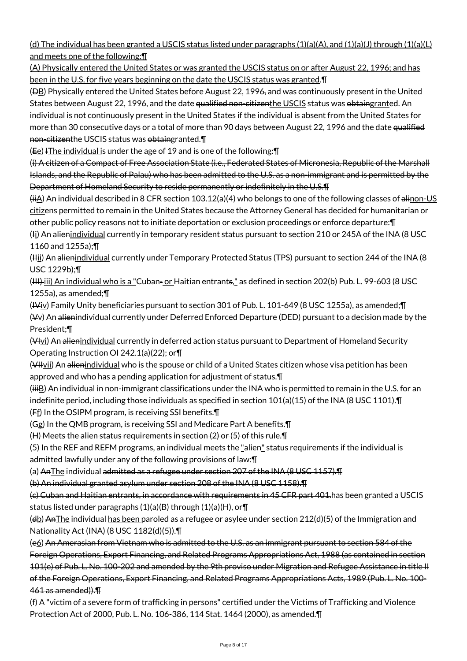(d) The individual has been granted a USCIS status listed under paragraphs  $(1)(a)(A)$ , and  $(1)(a)(J)$  through  $(1)(a)(L)$ and meets one of the following:¶

(A) Physically entered the United States or was granted the USCIS status on or after August 22, 1996; and has been in the U.S. for five years beginning on the date the USCIS status was granted.¶

(DB) Physically entered the United States before August 22, 1996, and was continuously present in the United States between August 22, 1996, and the date qualified non-citizenthe USCIS status was obtaingranted. An individual is not continuously present in the United States if the individual is absent from the United States for more than 30 consecutive days or a total of more than 90 days between August 22, 1996 and the date qualified non-citizenthe USCIS status was obtaingranted.

 $(E<sub>e</sub>)$  IThe individual is under the age of 19 and is one of the following:  $\P$ 

(i) A citizen of a Compact of Free Association State (i.e., Federated States of Micronesia, Republic of the Marshall Islands, and the Republic of Palau) who has been admitted to the U.S. as a non-immigrant and is permitted by the Department of Homeland Security to reside permanently or indefinitely in the U.S.¶

 $(H~~i~~A)$  An individual described in 8 CFR section 103.12(a)(4) who belongs to one of the following classes of alinon-US citizens permitted to remain in the United States because the Attorney General has decided for humanitarian or other public policy reasons not to initiate deportation or exclusion proceedings or enforce departure:¶

(<del>I</del>j) An <del>alien</del><u>individual</u> currently in temporary resident status pursuant to section 210 or 245A of the INA (8 USC 1160 and 1255a);¶

(Hii) An alienindividual currently under Temporary Protected Status (TPS) pursuant to section 244 of the INA (8 USC 1229b);¶

(III) iii) An individual who is a "Cuban- or Haitian entrants," as defined in section 202(b) Pub. L. 99-603 (8 USC 1255a), as amended;¶

(IViv) Family Unity beneficiaries pursuant to section 301 of Pub. L. 101-649 (8 USC 1255a), as amended;¶ (Vy) An alienindividual currently under Deferred Enforced Departure (DED) pursuant to a decision made by the President;¶

(VIvi) An alienindividual currently in deferred action status pursuant to Department of Homeland Security Operating Instruction OI 242.1(a)(22); or¶

(VHvii) An alienindividual who is the spouse or child of a United States citizen whose visa petition has been approved and who has a pending application for adjustment of status.¶

 $(iiiB)$  An individual in non-immigrant classifications under the INA who is permitted to remain in the U.S. for an indefinite period, including those individuals as specified in section 101(a)(15) of the INA (8 USC 1101).¶ (Ff) In the OSIPM program, is receiving SSI benefits.¶

(Gg) In the QMB program, is receiving SSI and Medicare Part A benefits.¶

(H) Meets the alien status requirements in section (2) or (5) of this rule.¶

(5) In the REF and REFM programs, an individual meets the "alien" status requirements if the individual is admitted lawfully under any of the following provisions of law:¶

(a) AnThe individual admitted as a refugee under section 207 of the INA (8 USC 1157).¶

(b) An individual granted asylum under section 208 of the INA (8 USC 1158).¶

(c) Cuban and Haitian entrants, in accordance with requirements in 45 CFR part 401.has been granted a USCIS status listed under paragraphs (1)(a)(B) through (1)(a)(H), or¶

( $\frac{d}{dt}$ ) AnThe individual has been paroled as a refugee or asylee under section 212(d)(5) of the Immigration and Nationality Act (INA) (8 USC 1182(d)(5)).¶

(e6) An Amerasian from Vietnam who is admitted to the U.S. as an immigrant pursuant to section 584 of the Foreign Operations, Export Financing, and Related Programs Appropriations Act, 1988 (as contained in section 101(e) of Pub. L. No. 100-202 and amended by the 9th proviso under Migration and Refugee Assistance in title II of the Foreign Operations, Export Financing, and Related Programs Appropriations Acts, 1989 (Pub. L. No. 100- 461 as amended)).¶

(f) A "victim of a severe form of trafficking in persons" certified under the Victims of Trafficking and Violence Protection Act of 2000, Pub. L. No. 106-386, 114 Stat. 1464 (2000), as amended.¶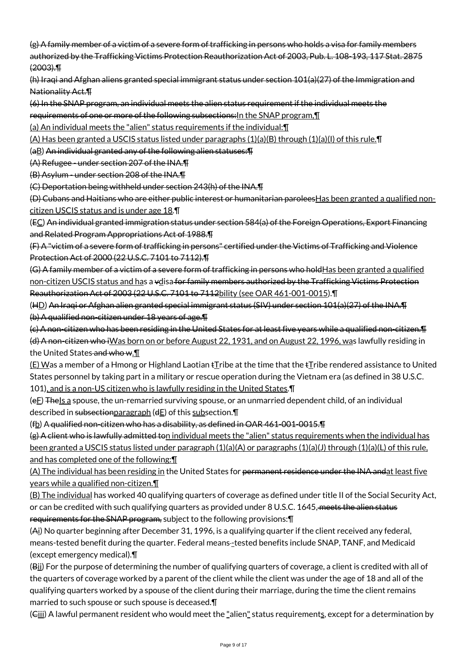(g) A family member of a victim of a severe form of trafficking in persons who holds a visa for family members authorized by the Trafficking Victims Protection Reauthorization Act of 2003, Pub. L. 108-193, 117 Stat. 2875 (2003).¶

(h) Iraqi and Afghan aliens granted special immigrant status under section 101(a)(27) of the Immigration and Nationality Act.¶

(6) In the SNAP program, an individual meets the alien status requirement if the individual meets the

requirements of one or more of the following subsections: In the SNAP program, [1]

(a) An individual meets the "alien" status requirements if the individual:¶

(A) Has been granted a USCIS status listed under paragraphs (1)(a)(B) through (1)(a)(I) of this rule. [I]

(aB) An individual granted any of the following alien statuses:¶

(A) Refugee - under section 207 of the INA.¶

(B) Asylum - under section 208 of the INA.¶

(C) Deportation being withheld under section 243(h) of the INA.¶

(D) Cubans and Haitians who are either public interest or humanitarian paroleesHas been granted a qualified noncitizen USCIS status and is under age 18.¶

(EC) An individual granted immigration status under section 584(a) of the Foreign Operations, Export Financing and Related Program Appropriations Act of 1988.¶

(F) A "victim of a severe form of trafficking in persons" certified under the Victims of Trafficking and Violence Protection Act of 2000 (22 U.S.C. 7101 to 7112).¶

(G) A family member of a victim of a severe form of trafficking in persons who holdHas been granted a qualified non-citizen USCIS status and has a vdisa for family members authorized by the Trafficking Victims Protection Reauthorization Act of 2003 (22 U.S.C. 7101 to 7112bility (see OAR 461-001-0015).¶

(HD) An Iraqi or Afghan alien granted special immigrant status (SIV) under section 101(a)(27) of the INA.¶ (b) A qualified non-citizen under 18 years of age.¶

(c) A non-citizen who has been residing in the United States for at least five years while a qualified non-citizen.¶ (d) A non-citizen who iWas born on or before August 22, 1931, and on August 22, 1996, was lawfully residing in the United States and who w. I

 $(E)$  Was a member of a Hmong or Highland Laotian  $E$ ribe at the time that the  $E$ ribe rendered assistance to United States personnel by taking part in a military or rescue operation during the Vietnam era (as defined in 38 U.S.C.

101), and is a non-US citizen who is lawfully residing in the United States.¶

(eF) TheIs a spouse, the un-remarried surviving spouse, or an unmarried dependent child, of an individual described in subsectionparagraph (dE) of this subsection.¶

(fb) A qualified non-citizen who has a disability, as defined in OAR 461-001-0015.¶

(g) A client who is lawfully admitted ton individual meets the "alien" status requirements when the individual has been granted a USCIS status listed under paragraph  $(1)(a)(A)$  or paragraphs  $(1)(a)(J)$  through  $(1)(a)(L)$  of this rule, and has completed one of the following:¶

(A) The individual has been residing in the United States for permanent residence under the INA andat least five years while a qualified non-citizen.¶

(B) The individual has worked 40 qualifying quarters of coverage as defined under title II of the Social Security Act, or can be credited with such qualifying quarters as provided under 8 U.S.C. 1645, meets the alien status requirements for the SNAP program, subject to the following provisions:¶

(Ai) No quarter beginning after December 31, 1996, is a qualifying quarter if the client received any federal, means-tested benefit during the quarter. Federal means -tested benefits include SNAP, TANF, and Medicaid (except emergency medical).¶

(Bii) For the purpose of determining the number of qualifying quarters of coverage, a client is credited with all of the quarters of coverage worked by a parent of the client while the client was under the age of 18 and all of the qualifying quarters worked by a spouse of the client during their marriage, during the time the client remains married to such spouse or such spouse is deceased.¶

(Giii) A lawful permanent resident who would meet the "alien" status requirements, except for a determination by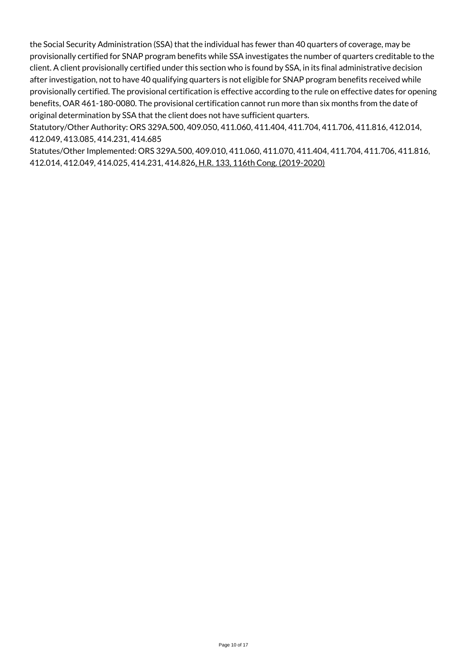the Social Security Administration (SSA) that the individual has fewer than 40 quarters of coverage, may be provisionally certified for SNAP program benefits while SSA investigates the number of quarters creditable to the client. A client provisionally certified under this section who is found by SSA, in its final administrative decision after investigation, not to have 40 qualifying quarters is not eligible for SNAP program benefits received while provisionally certified. The provisional certification is effective according to the rule on effective dates for opening benefits, OAR 461-180-0080. The provisional certification cannot run more than six months from the date of original determination by SSA that the client does not have sufficient quarters.

Statutory/Other Authority: ORS 329A.500, 409.050, 411.060, 411.404, 411.704, 411.706, 411.816, 412.014, 412.049, 413.085, 414.231, 414.685

Statutes/Other Implemented: ORS 329A.500, 409.010, 411.060, 411.070, 411.404, 411.704, 411.706, 411.816, 412.014, 412.049, 414.025, 414.231, 414.826, H.R. 133, 116th Cong. (2019-2020)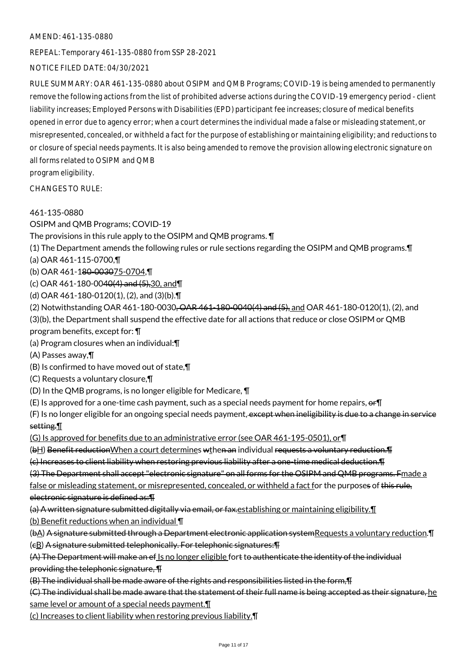#### AMEND: 461-135-0880

REPEAL: Temporary 461-135-0880 from SSP 28-2021

# NOTICE FILED DATE: 04/30/2021

RULE SUMMARY: OAR 461-135-0880 about OSIPM and QMB Programs; COVID-19 is being amended to permanently remove the following actions from the list of prohibited adverse actions during the COVID-19 emergency period - client liability increases; Employed Persons with Disabilities (EPD) participant fee increases; closure of medical benefits opened in error due to agency error; when a court determines the individual made a false or misleading statement, or misrepresented, concealed, or withheld a fact for the purpose of establishing or maintaining eligibility; and reductions to or closure of special needs payments. It is also being amended to remove the provision allowing electronic signature on all forms related to OSIPM and QMB

program eligibility.

CHANGES TO RULE:

#### 461-135-0880

OSIPM and QMB Programs; COVID-19

The provisions in this rule apply to the OSIPM and QMB programs. ¶

(1) The Department amends the following rules or rule sections regarding the OSIPM and QMB programs.¶

- (a) OAR 461-115-0700,¶
- (b) OAR 461-180-003075-0704,¶
- (c) OAR 461-180-0040(4) and (5),30, and¶
- (d) OAR 461-180-0120(1), (2), and (3)(b).¶
- (2) Notwithstanding OAR 461-180-0030<del>, OAR 461-180-0040(4) and (5),</del> and OAR 461-180-0120(1), (2), and

(3)(b), the Department shall suspend the effective date for all actions that reduce or close OSIPM or QMB program benefits, except for: ¶

(a) Program closures when an individual:¶

(A) Passes away,¶

- (B) Is confirmed to have moved out of state,¶
- (C) Requests a voluntary closure,¶
- (D) In the QMB programs, is no longer eligible for Medicare, ¶
- (E) Is approved for a one-time cash payment, such as a special needs payment for home repairs,  $er\mathbb{T}$

(F) Is no longer eligible for an ongoing special needs payment, except when ineligibility is due to a change in service setting.¶

(G) Is approved for benefits due to an administrative error (see OAR 461-195-0501), or¶

(bH) Benefit reduction When a court determines wthen an individual requests a voluntary reduction. The state of

(c) Increases to client liability when restoring previous liability after a one-time medical deduction.¶

(3) The Department shall accept "electronic signature" on all forms for the OSIPM and QMB programs. Fmade a

false or misleading statement, or misrepresented, concealed, or withheld a fact for the purposes of this rule, electronic signature is defined as:¶

(a) A written signature submitted digitally via email, or fax. establishing or maintaining eligibility. I

(b) Benefit reductions when an individual ¶

(bA) A signature submitted through a Department electronic application systemRequests a voluntary reduction.¶

(cB) A signature submitted telephonically. For telephonic signatures:¶

(A) The Department will make an ef Is no longer eligible fort to authenticate the identity of the individual providing the telephonic signature, ¶

(B) The individual shall be made aware of the rights and responsibilities listed in the form,¶

(C) The individual shall be made aware that the statement of their full name is being accepted as their signature, he

same level or amount of a special needs payment.

(c) Increases to client liability when restoring previous liability.¶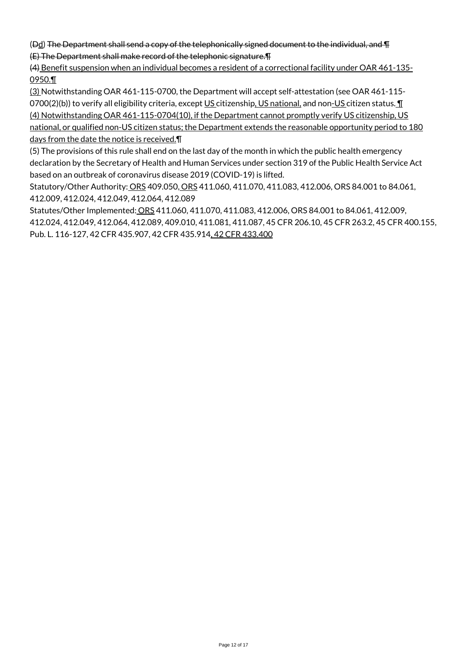(Dd) The Department shall send a copy of the telephonically signed document to the individual, and ¶ (E) The Department shall make record of the telephonic signature.¶

(4) Benefit suspension when an individual becomes a resident of a correctional facility under OAR 461-135- 0950.¶

(3) Notwithstanding OAR 461-115-0700, the Department will accept self-attestation (see OAR 461-115- 0700(2)(b)) to verify all eligibility criteria, except US citizenship, US national, and non-US citizen status. 1 (4) Notwithstanding OAR 461-115-0704(10), if the Department cannot promptly verify US citizenship, US

national, or qualified non-US citizen status; the Department extends the reasonable opportunity period to 180 days from the date the notice is received.¶

(5) The provisions of this rule shall end on the last day of the month in which the public health emergency declaration by the Secretary of Health and Human Services under section 319 of the Public Health Service Act based on an outbreak of coronavirus disease 2019 (COVID-19) is lifted.

Statutory/Other Authority: ORS 409.050, ORS 411.060, 411.070, 411.083, 412.006, ORS 84.001 to 84.061, 412.009, 412.024, 412.049, 412.064, 412.089

Statutes/Other Implemented: ORS 411.060, 411.070, 411.083, 412.006, ORS 84.001 to 84.061, 412.009, 412.024, 412.049, 412.064, 412.089, 409.010, 411.081, 411.087, 45 CFR 206.10, 45 CFR 263.2, 45 CFR 400.155, Pub. L. 116-127, 42 CFR 435.907, 42 CFR 435.914, 42 CFR 433.400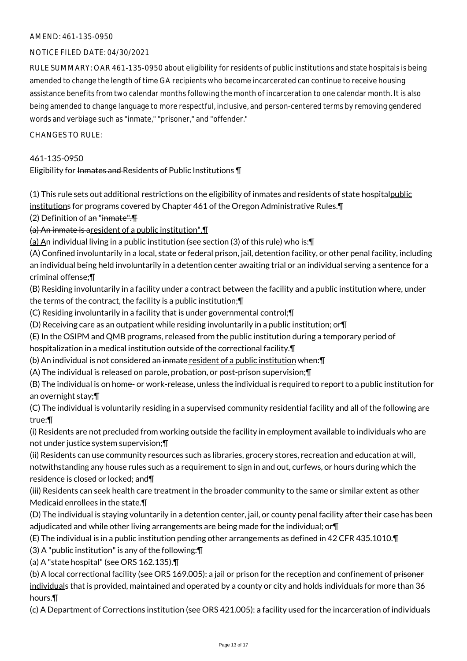### AMEND: 461-135-0950

### NOTICE FILED DATE: 04/30/2021

RULE SUMMARY: OAR 461-135-0950 about eligibility for residents of public institutions and state hospitals is being amended to change the length of time GA recipients who become incarcerated can continue to receive housing assistance benefits from two calendar months following the month of incarceration to one calendar month. It is also being amended to change language to more respectful, inclusive, and person-centered terms by removing gendered words and verbiage such as "inmate," "prisoner," and "offender."

#### $CHANGESTORUIF$

#### 461-135-0950

# Eligibility for Inmates and Residents of Public Institutions \[

(1) This rule sets out additional restrictions on the eligibility of inmates and residents of state hospitalpublic institutions for programs covered by Chapter 461 of the Oregon Administrative Rules.¶

(2) Definition of an "inmate".¶

(a) An inmate is aresident of a public institution".¶

(a) An individual living in a public institution (see section (3) of this rule) who is: $\P$ 

(A) Confined involuntarily in a local, state or federal prison, jail, detention facility, or other penal facility, including an individual being held involuntarily in a detention center awaiting trial or an individual serving a sentence for a criminal offense;¶

(B) Residing involuntarily in a facility under a contract between the facility and a public institution where, under the terms of the contract, the facility is a public institution;¶

(C) Residing involuntarily in a facility that is under governmental control;¶

- (D) Receiving care as an outpatient while residing involuntarily in a public institution; or¶
- (E) In the OSIPM and QMB programs, released from the public institution during a temporary period of hospitalization in a medical institution outside of the correctional facility.¶
- (b) An individual is not considered an inmate resident of a public institution when: \[

(A) The individual is released on parole, probation, or post-prison supervision;¶

(B) The individual is on home- or work-release, unless the individual is required to report to a public institution for an overnight stay;¶

(C) The individual is voluntarily residing in a supervised community residential facility and all of the following are true:¶

(i) Residents are not precluded from working outside the facility in employment available to individuals who are not under justice system supervision;¶

(ii) Residents can use community resources such as libraries, grocery stores, recreation and education at will, notwithstanding any house rules such as a requirement to sign in and out, curfews, or hours during which the residence is closed or locked; and¶

(iii) Residents can seek health care treatment in the broader community to the same or similar extent as other Medicaid enrollees in the state.¶

(D) The individual is staying voluntarily in a detention center, jail, or county penal facility after their case has been adjudicated and while other living arrangements are being made for the individual; or¶

(E) The individual is in a public institution pending other arrangements as defined in 42 CFR 435.1010.¶

(3) A "public institution" is any of the following:¶

(a) A "state hospital" (see ORS 162.135).¶

(b) A local correctional facility (see ORS 169.005): a jail or prison for the reception and confinement of prisoner individuals that is provided, maintained and operated by a county or city and holds individuals for more than 36 hours.¶

(c) A Department of Corrections institution (see ORS 421.005): a facility used for the incarceration of individuals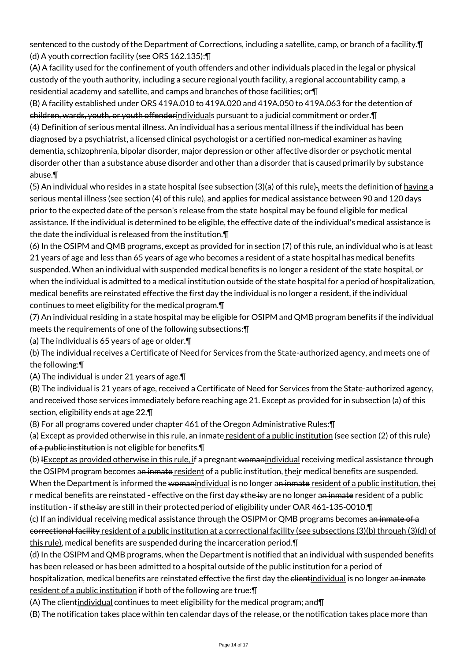sentenced to the custody of the Department of Corrections, including a satellite, camp, or branch of a facility.¶ (d) A youth correction facility (see ORS 162.135):¶

(A) A facility used for the confinement of <del>youth offenders and other i</del>ndividuals placed in the legal or physical custody of the youth authority, including a secure regional youth facility, a regional accountability camp, a residential academy and satellite, and camps and branches of those facilities; or¶

(B) A facility established under ORS 419A.010 to 419A.020 and 419A.050 to 419A.063 for the detention of children, wards, youth, or youth offenderindividuals pursuant to a judicial commitment or order.¶ (4) Definition of serious mental illness. An individual has a serious mental illness if the individual has been diagnosed by a psychiatrist, a licensed clinical psychologist or a certified non-medical examiner as having dementia, schizophrenia, bipolar disorder, major depression or other affective disorder or psychotic mental disorder other than a substance abuse disorder and other than a disorder that is caused primarily by substance abuse.¶

(5) An individual who resides in a state hospital (see subsection (3)(a) of this rule)-, meets the definition of having a serious mental illness (see section (4) of this rule), and applies for medical assistance between 90 and 120 days prior to the expected date of the person's release from the state hospital may be found eligible for medical assistance. If the individual is determined to be eligible, the effective date of the individual's medical assistance is the date the individual is released from the institution.¶

(6) In the OSIPM and QMB programs, except as provided for in section (7) of this rule, an individual who is at least 21 years of age and less than 65 years of age who becomes a resident of a state hospital has medical benefits suspended. When an individual with suspended medical benefits is no longer a resident of the state hospital, or when the individual is admitted to a medical institution outside of the state hospital for a period of hospitalization, medical benefits are reinstated effective the first day the individual is no longer a resident, if the individual continues to meet eligibility for the medical program.¶

(7) An individual residing in a state hospital may be eligible for OSIPM and QMB program benefits if the individual meets the requirements of one of the following subsections:¶

(a) The individual is 65 years of age or older.¶

(b) The individual receives a Certificate of Need for Services from the State-authorized agency, and meets one of the following:¶

(A) The individual is under 21 years of age.¶

(B) The individual is 21 years of age, received a Certificate of Need for Services from the State-authorized agency, and received those services immediately before reaching age 21. Except as provided for in subsection (a) of this section, eligibility ends at age 22.¶

(8) For all programs covered under chapter 461 of the Oregon Administrative Rules:¶

(a) Except as provided otherwise in this rule, an inmate resident of a public institution (see section  $(2)$  of this rule) of a public institution is not eligible for benefits.¶

(b) IExcept as provided otherwise in this rule, if a pregnant womanindividual receiving medical assistance through the OSIPM program becomes an inmate resident of a public institution, their medical benefits are suspended. When the Department is informed the womanindividual is no longer an inmate resident of a public institution, thei r medical benefits are reinstated - effective on the first day sthe isy are no longer an inmate resident of a public

institution - if sthe isy are still in their protected period of eligibility under OAR 461-135-0010. (c) If an individual receiving medical assistance through the OSIPM or QMB programs becomes an inmate of a correctional facility resident of a public institution at a correctional facility (see subsections (3)(b) through (3)(d) of this rule), medical benefits are suspended during the incarceration period. [1]

(d) In the OSIPM and QMB programs, when the Department is notified that an individual with suspended benefits has been released or has been admitted to a hospital outside of the public institution for a period of hospitalization, medical benefits are reinstated effective the first day the clientindividual is no longer an inmate resident of a public institution if both of the following are true: [1]

(A) The clientindividual continues to meet eligibility for the medical program; and¶

(B) The notification takes place within ten calendar days of the release, or the notification takes place more than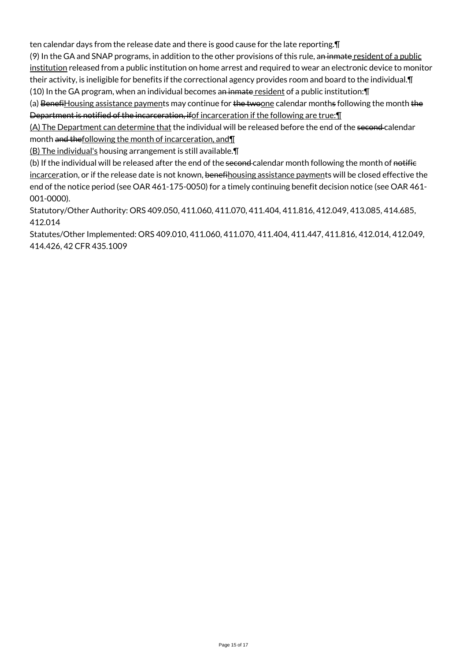ten calendar days from the release date and there is good cause for the late reporting.¶

(9) In the GA and SNAP programs, in addition to the other provisions of this rule, an inmate resident of a public institution released from a public institution on home arrest and required to wear an electronic device to monitor their activity, is ineligible for benefits if the correctional agency provides room and board to the individual.¶  $(10)$  In the GA program, when an individual becomes an inmate resident of a public institution: $\P$ 

(a) BenefiHousing assistance payments may continue for the twoone calendar months following the month the Department is notified of the incarceration, if of incarceration if the following are true: [1]

(A) The Department can determine that the individual will be released before the end of the second calendar month and thefollowing the month of incarceration, and II

(B) The individual's housing arrangement is still available.¶

(b) If the individual will be released after the end of the second-calendar month following the month of notifie incarceration, or if the release date is not known, benefihousing assistance payments will be closed effective the end of the notice period (see OAR 461-175-0050) for a timely continuing benefit decision notice (see OAR 461- 001-0000).

Statutory/Other Authority: ORS 409.050, 411.060, 411.070, 411.404, 411.816, 412.049, 413.085, 414.685, 412.014

Statutes/Other Implemented: ORS 409.010, 411.060, 411.070, 411.404, 411.447, 411.816, 412.014, 412.049, 414.426, 42 CFR 435.1009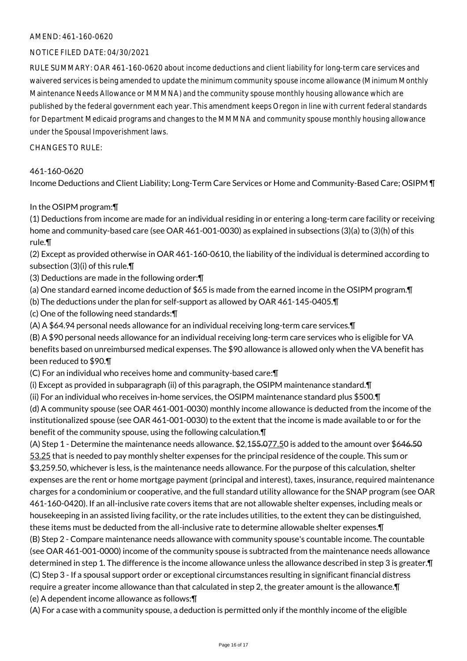### AMEND: 461-160-0620

#### NOTICE FILED DATE: 04/30/2021

RULE SUMMARY: OAR 461-160-0620 about income deductions and client liability for long-term care services and waivered services is being amended to update the minimum community spouse income allowance (Minimum Monthly Maintenance Needs Allowance or MMMNA) and the community spouse monthly housing allowance which are published by the federal government each year. This amendment keeps Oregon in line with current federal standards for Department Medicaid programs and changes to the MMMNA and community spouse monthly housing allowance under the Spousal Impoverishment laws.

CHANGES TO RULE:

#### 461-160-0620

Income Deductions and Client Liability; Long-Term Care Services or Home and Community-Based Care; OSIPM ¶

#### In the OSIPM program:¶

(1) Deductions from income are made for an individual residing in or entering a long-term care facility or receiving home and community-based care (see OAR 461-001-0030) as explained in subsections (3)(a) to (3)(h) of this rule.¶

(2) Except as provided otherwise in OAR 461-160-0610, the liability of the individual is determined according to subsection (3)(i) of this rule.¶

(3) Deductions are made in the following order:¶

(a) One standard earned income deduction of \$65 is made from the earned income in the OSIPM program.¶

(b) The deductions under the plan for self-support as allowed by OAR 461-145-0405.¶

(c) One of the following need standards:¶

(A) A \$64.94 personal needs allowance for an individual receiving long-term care services.¶

(B) A \$90 personal needs allowance for an individual receiving long-term care services who is eligible for VA benefits based on unreimbursed medical expenses. The \$90 allowance is allowed only when the VA benefit has been reduced to \$90.¶

(C) For an individual who receives home and community-based care:¶

(i) Except as provided in subparagraph (ii) of this paragraph, the OSIPM maintenance standard.¶

(ii) For an individual who receives in-home services, the OSIPM maintenance standard plus \$500.¶

(d) A community spouse (see OAR 461-001-0030) monthly income allowance is deducted from the income of the institutionalized spouse (see OAR 461-001-0030) to the extent that the income is made available to or for the benefit of the community spouse, using the following calculation.¶

(A) Step 1 - Determine the maintenance needs allowance. \$2,155.077.50 is added to the amount over \$646.50 53.25 that is needed to pay monthly shelter expenses for the principal residence of the couple. This sum or \$3,259.50, whichever is less, is the maintenance needs allowance. For the purpose of this calculation, shelter expenses are the rent or home mortgage payment (principal and interest), taxes, insurance, required maintenance charges for a condominium or cooperative, and the full standard utility allowance for the SNAP program (see OAR 461-160-0420). If an all-inclusive rate covers items that are not allowable shelter expenses, including meals or housekeeping in an assisted living facility, or the rate includes utilities, to the extent they can be distinguished, these items must be deducted from the all-inclusive rate to determine allowable shelter expenses.¶ (B) Step 2 - Compare maintenance needs allowance with community spouse's countable income. The countable

(see OAR 461-001-0000) income of the community spouse is subtracted from the maintenance needs allowance determined in step 1. The difference is the income allowance unless the allowance described in step 3 is greater.¶ (C) Step 3 - If a spousal support order or exceptional circumstances resulting in significant financial distress require a greater income allowance than that calculated in step 2, the greater amount is the allowance.¶ (e) A dependent income allowance as follows:¶

(A) For a case with a community spouse, a deduction is permitted only if the monthly income of the eligible